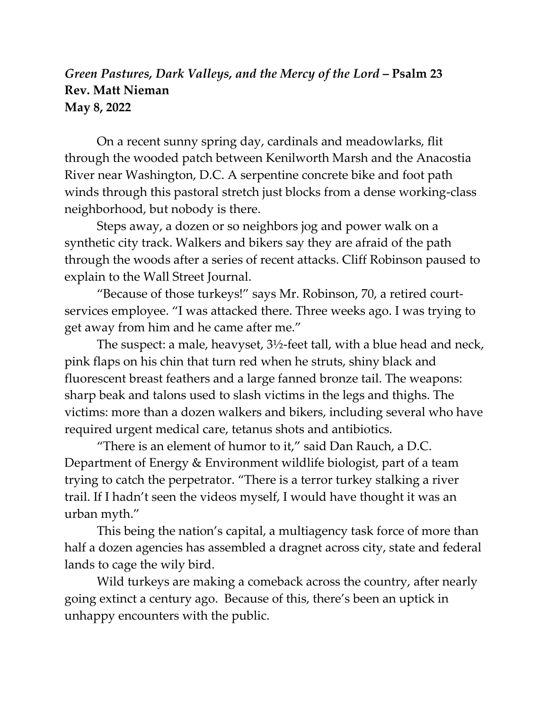## *Green Pastures, Dark Valleys, and the Mercy of the Lord* **– Psalm 23 Rev. Matt Nieman May 8, 2022**

On a recent sunny spring day, cardinals and meadowlarks, flit through the wooded patch between Kenilworth Marsh and the Anacostia River near Washington, D.C. A serpentine concrete bike and foot path winds through this pastoral stretch just blocks from a dense working-class neighborhood, but nobody is there.

Steps away, a dozen or so neighbors jog and power walk on a synthetic city track. Walkers and bikers say they are afraid of the path through the woods after a series of recent attacks. Cliff Robinson paused to explain to the Wall Street Journal.

"Because of those turkeys!" says Mr. Robinson, 70, a retired courtservices employee. "I was attacked there. Three weeks ago. I was trying to get away from him and he came after me."

The suspect: a male, heavyset, 3½-feet tall, with a blue head and neck, pink flaps on his chin that turn red when he struts, shiny black and fluorescent breast feathers and a large fanned bronze tail. The weapons: sharp beak and talons used to slash victims in the legs and thighs. The victims: more than a dozen walkers and bikers, including several who have required urgent medical care, tetanus shots and antibiotics.

"There is an element of humor to it," said Dan Rauch, a D.C. Department of Energy & Environment wildlife biologist, part of a team trying to catch the perpetrator. "There is a terror turkey stalking a river trail. If I hadn't seen the videos myself, I would have thought it was an urban myth."

This being the nation's capital, a multiagency task force of more than half a dozen agencies has assembled a dragnet across city, state and federal lands to cage the wily bird.

Wild turkeys are making a comeback across the country, after nearly going extinct a century ago. Because of this, there's been an uptick in unhappy encounters with the public.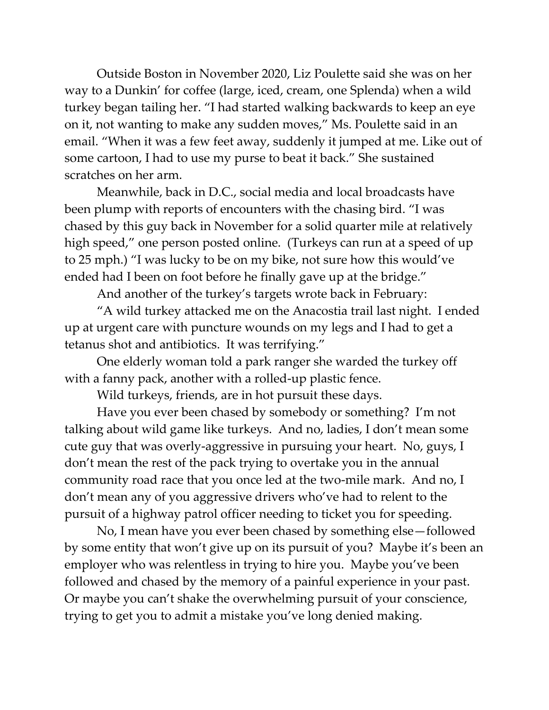Outside Boston in November 2020, Liz Poulette said she was on her way to a Dunkin' for coffee (large, iced, cream, one Splenda) when a wild turkey began tailing her. "I had started walking backwards to keep an eye on it, not wanting to make any sudden moves," Ms. Poulette said in an email. "When it was a few feet away, suddenly it jumped at me. Like out of some cartoon, I had to use my purse to beat it back." She sustained scratches on her arm.

Meanwhile, back in D.C., social media and local broadcasts have been plump with reports of encounters with the chasing bird. "I was chased by this guy back in November for a solid quarter mile at relatively high speed," one person posted online. (Turkeys can run at a speed of up to 25 mph.) "I was lucky to be on my bike, not sure how this would've ended had I been on foot before he finally gave up at the bridge."

And another of the turkey's targets wrote back in February:

"A wild turkey attacked me on the Anacostia trail last night. I ended up at urgent care with puncture wounds on my legs and I had to get a tetanus shot and antibiotics. It was terrifying."

One elderly woman told a park ranger she warded the turkey off with a fanny pack, another with a rolled-up plastic fence.

Wild turkeys, friends, are in hot pursuit these days.

Have you ever been chased by somebody or something? I'm not talking about wild game like turkeys. And no, ladies, I don't mean some cute guy that was overly-aggressive in pursuing your heart. No, guys, I don't mean the rest of the pack trying to overtake you in the annual community road race that you once led at the two-mile mark. And no, I don't mean any of you aggressive drivers who've had to relent to the pursuit of a highway patrol officer needing to ticket you for speeding.

No, I mean have you ever been chased by something else—followed by some entity that won't give up on its pursuit of you? Maybe it's been an employer who was relentless in trying to hire you. Maybe you've been followed and chased by the memory of a painful experience in your past. Or maybe you can't shake the overwhelming pursuit of your conscience, trying to get you to admit a mistake you've long denied making.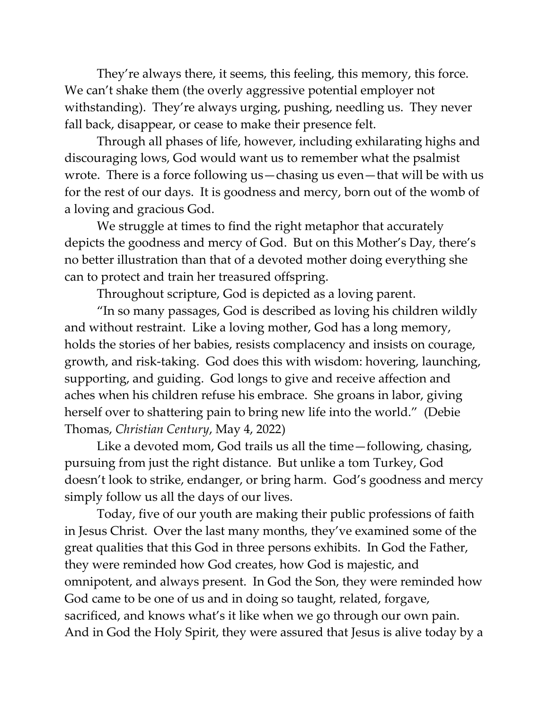They're always there, it seems, this feeling, this memory, this force. We can't shake them (the overly aggressive potential employer not withstanding). They're always urging, pushing, needling us. They never fall back, disappear, or cease to make their presence felt.

Through all phases of life, however, including exhilarating highs and discouraging lows, God would want us to remember what the psalmist wrote. There is a force following us—chasing us even—that will be with us for the rest of our days. It is goodness and mercy, born out of the womb of a loving and gracious God.

We struggle at times to find the right metaphor that accurately depicts the goodness and mercy of God. But on this Mother's Day, there's no better illustration than that of a devoted mother doing everything she can to protect and train her treasured offspring.

Throughout scripture, God is depicted as a loving parent.

"In so many passages, God is described as loving his children wildly and without restraint. Like a loving mother, God has a long memory, holds the stories of her babies, resists complacency and insists on courage, growth, and risk-taking. God does this with wisdom: hovering, launching, supporting, and guiding. God longs to give and receive affection and aches when his children refuse his embrace. She groans in labor, giving herself over to shattering pain to bring new life into the world." (Debie Thomas, *Christian Century*, May 4, 2022)

Like a devoted mom, God trails us all the time—following, chasing, pursuing from just the right distance. But unlike a tom Turkey, God doesn't look to strike, endanger, or bring harm. God's goodness and mercy simply follow us all the days of our lives.

Today, five of our youth are making their public professions of faith in Jesus Christ. Over the last many months, they've examined some of the great qualities that this God in three persons exhibits. In God the Father, they were reminded how God creates, how God is majestic, and omnipotent, and always present. In God the Son, they were reminded how God came to be one of us and in doing so taught, related, forgave, sacrificed, and knows what's it like when we go through our own pain. And in God the Holy Spirit, they were assured that Jesus is alive today by a